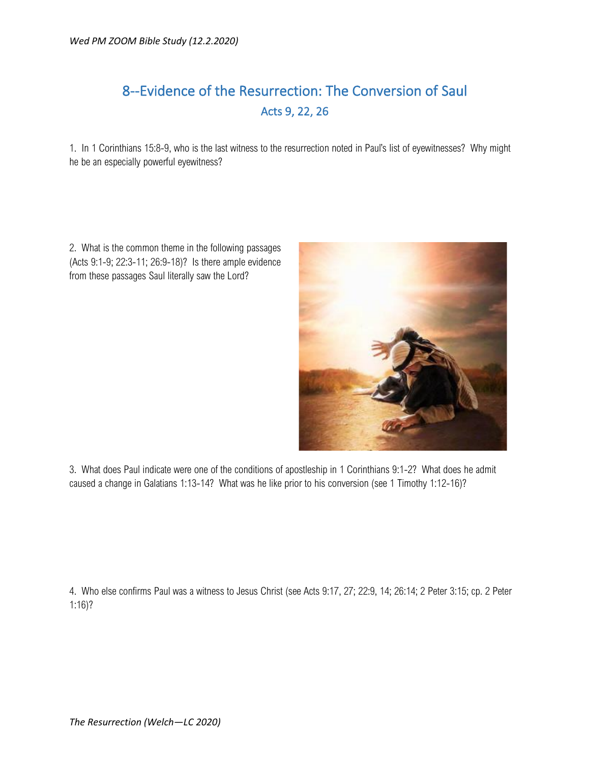## 8--Evidence of the Resurrection: The Conversion of Saul Acts 9, 22, 26

1. In 1 Corinthians 15:8-9, who is the last witness to the resurrection noted in Paul's list of eyewitnesses? Why might he be an especially powerful eyewitness?

2. What is the common theme in the following passages (Acts 9:1-9; 22:3-11; 26:9-18)? Is there ample evidence from these passages Saul literally saw the Lord?



3. What does Paul indicate were one of the conditions of apostleship in 1 Corinthians 9:1-2? What does he admit caused a change in Galatians 1:13-14? What was he like prior to his conversion (see 1 Timothy 1:12-16)?

4. Who else confirms Paul was a witness to Jesus Christ (see Acts 9:17, 27; 22:9, 14; 26:14; 2 Peter 3:15; cp. 2 Peter 1:16)?